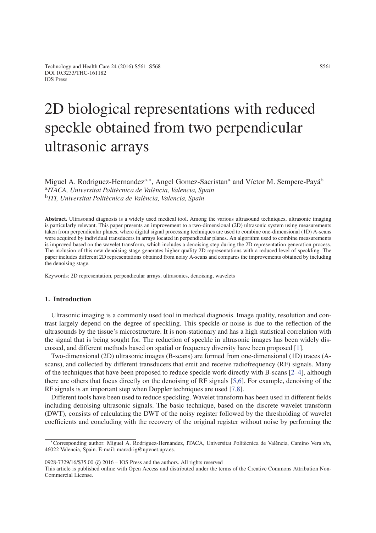# 2D biological representations with reduced speckle obtained from two perpendicular ultrasonic arrays

Miguel A. Rodriguez-Hernandez<sup>a,∗</sup>, Angel Gomez-Sacristan<sup>a</sup> and Víctor M. Sempere-Payá<sup>b</sup> <sup>a</sup>*ITACA, Universitat Politècnica de València, Valencia, Spain* <sup>b</sup>*ITI, Universitat Politècnica de València, Valencia, Spain*

Abstract. Ultrasound diagnosis is a widely used medical tool. Among the various ultrasound techniques, ultrasonic imaging is particularly relevant. This paper presents an improvement to a two-dimensional (2D) ultrasonic system using measurements taken from perpendicular planes, where digital signal processing techniques are used to combine one-dimensional (1D) A-scans were acquired by individual transducers in arrays located in perpendicular planes. An algorithm used to combine measurements is improved based on the wavelet transform, which includes a denoising step during the 2D representation generation process. The inclusion of this new denoising stage generates higher quality 2D representations with a reduced level of speckling. The paper includes different 2D representations obtained from noisy A-scans and compares the improvements obtained by including the denoising stage.

Keywords: 2D representation, perpendicular arrays, ultrasonics, denoising, wavelets

# 1. Introduction

Ultrasonic imaging is a commonly used tool in medical diagnosis. Image quality, resolution and contrast largely depend on the degree of speckling. This speckle or noise is due to the reflection of the ultrasounds by the tissue's microstructure. It is non-stationary and has a high statistical correlation with the signal that is being sought for. The reduction of speckle in ultrasonic images has been widely discussed, and different methods based on spatial or frequency diversity have been proposed [\[1\]](#page-6-0).

Two-dimensional (2D) ultrasonic images (B-scans) are formed from one-dimensional (1D) traces (Ascans), and collected by different transducers that emit and receive radiofrequency (RF) signals. Many of the techniques that have been proposed to reduce speckle work directly with B-scans [\[2](#page-6-1)[–4\]](#page-6-2), although there are others that focus directly on the denoising of RF signals [\[5,](#page-6-3)[6\]](#page-6-4). For example, denoising of the RF signals is an important step when Doppler techniques are used [\[7,](#page-6-5)[8\]](#page-6-6).

Different tools have been used to reduce speckling. Wavelet transform has been used in different fields including denoising ultrasonic signals. The basic technique, based on the discrete wavelet transform (DWT), consists of calculating the DWT of the noisy register followed by the thresholding of wavelet coefficients and concluding with the recovery of the original register without noise by performing the

 $0928-7329/16/$ \$35.00  $\odot$  2016 – IOS Press and the authors. All rights reserved

This article is published online with Open Access and distributed under the terms of the Creative Commons Attribution Non-Commercial License.

<sup>∗</sup>Corresponding author: Miguel A. Rodriguez-Hernandez, ITACA, Universitat Politècnica de València, Camino Vera s/n, 46022 Valencia, Spain. E-mail: marodrig@upvnet.upv.es.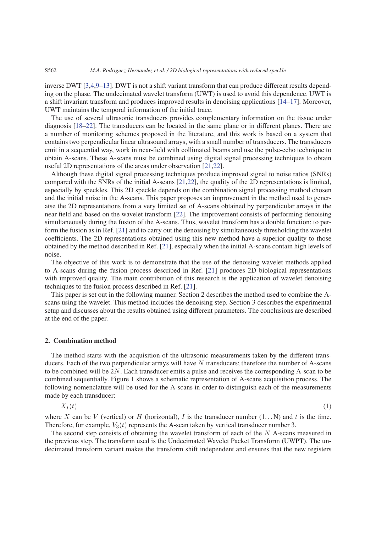inverse DWT [\[3,](#page-6-7)[4,](#page-6-2)[9–](#page-6-8)[13\]](#page-6-9). DWT is not a shift variant transform that can produce different results depending on the phase. The undecimated wavelet transform (UWT) is used to avoid this dependence. UWT is a shift invariant transform and produces improved results in denoising applications [\[14](#page-6-10)[–17\]](#page-6-11). Moreover, UWT maintains the temporal information of the initial trace.

The use of several ultrasonic transducers provides complementary information on the tissue under diagnosis [\[18](#page-6-12)[–22\]](#page-7-0). The transducers can be located in the same plane or in different planes. There are a number of monitoring schemes proposed in the literature, and this work is based on a system that contains two perpendicular linear ultrasound arrays, with a small number of transducers. The transducers emit in a sequential way, work in near-field with collimated beams and use the pulse-echo technique to obtain A-scans. These A-scans must be combined using digital signal processing techniques to obtain useful 2D representations of the areas under observation [\[21,](#page-7-1)[22\]](#page-7-0).

Although these digital signal processing techniques produce improved signal to noise ratios (SNRs) compared with the SNRs of the initial A-scans [\[21,](#page-7-1)[22\]](#page-7-0), the quality of the 2D representations is limited, especially by speckles. This 2D speckle depends on the combination signal processing method chosen and the initial noise in the A-scans. This paper proposes an improvement in the method used to generatse the 2D representations from a very limited set of A-scans obtained by perpendicular arrays in the near field and based on the wavelet transform [\[22\]](#page-7-0). The improvement consists of performing denoising simultaneously during the fusion of the A-scans. Thus, wavelet transform has a double function: to perform the fusion as in Ref. [\[21\]](#page-7-1) and to carry out the denoising by simultaneously thresholding the wavelet coefficients. The 2D representations obtained using this new method have a superior quality to those obtained by the method described in Ref. [\[21\]](#page-7-1), especially when the initial A-scans contain high levels of noise.

The objective of this work is to demonstrate that the use of the denoising wavelet methods applied to A-scans during the fusion process described in Ref. [\[21\]](#page-7-1) produces 2D biological representations with improved quality. The main contribution of this research is the application of wavelet denoising techniques to the fusion process described in Ref. [\[21\]](#page-7-1).

This paper is set out in the following manner. Section 2 describes the method used to combine the Ascans using the wavelet. This method includes the denoising step. Section 3 describes the experimental setup and discusses about the results obtained using different parameters. The conclusions are described at the end of the paper.

#### 2. Combination method

The method starts with the acquisition of the ultrasonic measurements taken by the different transducers. Each of the two perpendicular arrays will have *N* transducers; therefore the number of A-scans to be combined will be 2*N*. Each transducer emits a pulse and receives the corresponding A-scan to be combined sequentially. Figure 1 shows a schematic representation of A-scans acquisition process. The following nomenclature will be used for the A-scans in order to distinguish each of the measurements made by each transducer:

$$
X_I(t) \tag{1}
$$

where *X* can be *V* (vertical) or *H* (horizontal), *I* is the transducer number  $(1...N)$  and *t* is the time. Therefore, for example,  $V_3(t)$  represents the A-scan taken by vertical transducer number 3.

The second step consists of obtaining the wavelet transform of each of the *N* A-scans measured in the previous step. The transform used is the Undecimated Wavelet Packet Transform (UWPT). The undecimated transform variant makes the transform shift independent and ensures that the new registers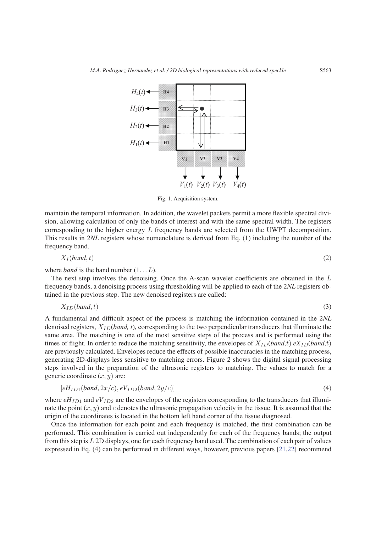

Fig. 1. Acquisition system.

maintain the temporal information. In addition, the wavelet packets permit a more flexible spectral division, allowing calculation of only the bands of interest and with the same spectral width. The registers corresponding to the higher energy *L* frequency bands are selected from the UWPT decomposition. This results in 2*NL* registers whose nomenclature is derived from Eq. (1) including the number of the frequency band.

$$
X_I(band, t) \tag{2}
$$

where *band* is the band number  $(1...L)$ .

The next step involves the denoising. Once the A-scan wavelet coefficients are obtained in the *L* frequency bands, a denoising process using thresholding will be applied to each of the 2*NL* registers obtained in the previous step. The new denoised registers are called:

$$
X_{ID}(band, t) \tag{3}
$$

A fundamental and difficult aspect of the process is matching the information contained in the 2*NL* denoised registers, *XID*(*band, t*), corresponding to the two perpendicular transducers that illuminate the same area. The matching is one of the most sensitive steps of the process and is performed using the times of flight. In order to reduce the matching sensitivity, the envelopes of  $X_{ID}(band, t) eX_{ID}(band, t)$ are previously calculated. Envelopes reduce the effects of possible inaccuracies in the matching process, generating 2D-displays less sensitive to matching errors. Figure 2 shows the digital signal processing steps involved in the preparation of the ultrasonic registers to matching. The values to match for a generic coordinate (*x, y*) are:

$$
[eHID1(band, 2x/c), eVID2(band, 2y/c)]
$$
\n(4)

where  $eH_{ID1}$  and  $eV_{ID2}$  are the envelopes of the registers corresponding to the transducers that illuminate the point  $(x, y)$  and *c* denotes the ultrasonic propagation velocity in the tissue. It is assumed that the origin of the coordinates is located in the bottom left hand corner of the tissue diagnosed.

Once the information for each point and each frequency is matched, the first combination can be performed. This combination is carried out independently for each of the frequency bands; the output from this step is *L* 2D displays, one for each frequency band used. The combination of each pair of values expressed in Eq. (4) can be performed in different ways, however, previous papers [\[21](#page-7-1)[,22\]](#page-7-0) recommend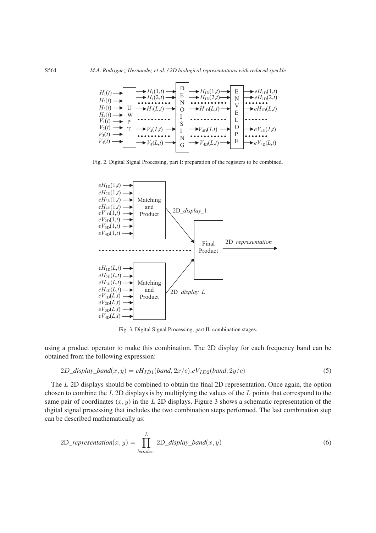

Fig. 2. Digital Signal Processing, part I: preparation of the registers to be combined.



Fig. 3. Digital Signal Processing, part II: combination stages.

using a product operator to make this combination. The 2D display for each frequency band can be obtained from the following expression:

$$
2D\_display\_band(x, y) = eHID1(band, 2x/c).eVID2(band, 2y/c)
$$
\n(5)

The *L* 2D displays should be combined to obtain the final 2D representation. Once again, the option chosen to combine the *L* 2D displays is by multiplying the values of the *L* points that correspond to the same pair of coordinates  $(x, y)$  in the *L* 2D displays. Figure 3 shows a schematic representation of the digital signal processing that includes the two combination steps performed. The last combination step can be described mathematically as:

$$
2D\_representation(x,y) = \prod_{band=1}^{L} 2D\_display\_band(x,y)
$$
\n(6)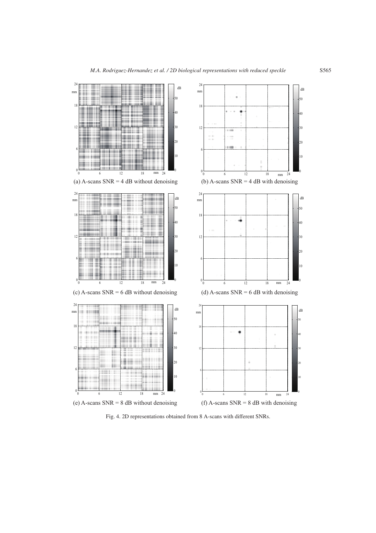

Fig. 4. 2D representations obtained from 8 A-scans with different SNRs.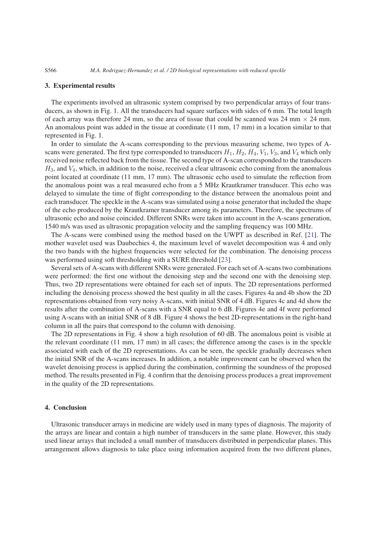#### 3. Experimental results

The experiments involved an ultrasonic system comprised by two perpendicular arrays of four transducers, as shown in Fig. 1. All the transducers had square surfaces with sides of 6 mm. The total length of each array was therefore 24 mm, so the area of tissue that could be scanned was 24 mm *×* 24 mm. An anomalous point was added in the tissue at coordinate (11 mm, 17 mm) in a location similar to that represented in Fig. 1.

In order to simulate the A-scans corresponding to the previous measuring scheme, two types of Ascans were generated. The first type corresponded to transducers  $H_1$ ,  $H_2$ ,  $H_4$ ,  $V_1$ ,  $V_3$ , and  $V_4$  which only received noise reflected back from the tissue. The second type of A-scan corresponded to the transducers *H*3, and *V*4, which, in addition to the noise, received a clear ultrasonic echo coming from the anomalous point located at coordinate (11 mm, 17 mm). The ultrasonic echo used to simulate the reflection from the anomalous point was a real measured echo from a 5 MHz Krautkramer transducer. This echo was delayed to simulate the time of flight corresponding to the distance between the anomalous point and each transducer. The speckle in the A-scans was simulated using a noise generator that included the shape of the echo produced by the Krautkramer transducer among its parameters. Therefore, the spectrums of ultrasonic echo and noise coincided. Different SNRs were taken into account in the A-scans generation, 1540 m/s was used as ultrasonic propagation velocity and the sampling frequency was 100 MHz.

The A-scans were combined using the method based on the UWPT as described in Ref. [\[21\]](#page-7-1). The mother wavelet used was Daubechies 4, the maximum level of wavelet decomposition was 4 and only the two bands with the highest frequencies were selected for the combination. The denoising process was performed using soft thresholding with a SURE threshold [\[23\]](#page-7-2).

Several sets of A-scans with different SNRs were generated. For each set of A-scans two combinations were performed: the first one without the denoising step and the second one with the denoising step. Thus, two 2D representations were obtained for each set of inputs. The 2D representations performed including the denoising process showed the best quality in all the cases. Figures 4a and 4b show the 2D representations obtained from very noisy A-scans, with initial SNR of 4 dB. Figures 4c and 4d show the results after the combination of A-scans with a SNR equal to 6 dB. Figures 4e and 4f were performed using A-scans with an initial SNR of 8 dB. Figure 4 shows the best 2D-representations in the right-hand column in all the pairs that correspond to the column with denoising.

The 2D representations in Fig. 4 show a high resolution of 60 dB. The anomalous point is visible at the relevant coordinate (11 mm, 17 mm) in all cases; the difference among the cases is in the speckle associated with each of the 2D representations. As can be seen, the speckle gradually decreases when the initial SNR of the A-scans increases. In addition, a notable improvement can be observed when the wavelet denoising process is applied during the combination, confirming the soundness of the proposed method. The results presented in Fig. 4 confirm that the denoising process produces a great improvement in the quality of the 2D representations.

# 4. Conclusion

Ultrasonic transducer arrays in medicine are widely used in many types of diagnosis. The majority of the arrays are linear and contain a high number of transducers in the same plane. However, this study used linear arrays that included a small number of transducers distributed in perpendicular planes. This arrangement allows diagnosis to take place using information acquired from the two different planes,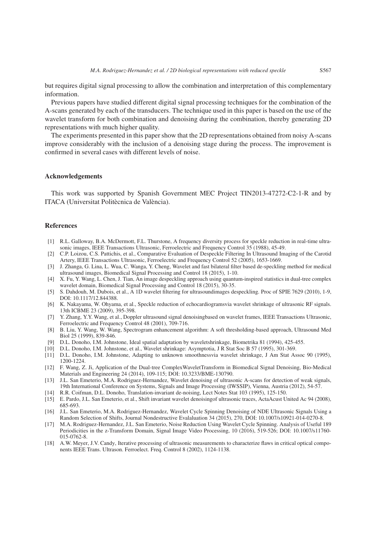but requires digital signal processing to allow the combination and interpretation of this complementary information.

Previous papers have studied different digital signal processing techniques for the combination of the A-scans generated by each of the transducers. The technique used in this paper is based on the use of the wavelet transform for both combination and denoising during the combination, thereby generating 2D representations with much higher quality.

The experiments presented in this paper show that the 2D representations obtained from noisy A-scans improve considerably with the inclusion of a denoising stage during the process. The improvement is confirmed in several cases with different levels of noise.

#### Acknowledgements

This work was supported by Spanish Government MEC Project TIN2013-47272-C2-1-R and by ITACA (Universitat Politècnica de València).

## References

- <span id="page-6-0"></span>[1] R.L. Galloway, B.A. McDermott, F.L. Thurstone, A frequency diversity process for speckle reduction in real-time ultrasonic images, IEEE Transactions Ultrasonic, Ferroelectric and Frequency Control 35 (1988), 45-49.
- <span id="page-6-1"></span>[2] C.P. Loizou, C.S. Pattichis, et al., Comparative Evaluation of Despeckle Filtering In Ultrasound Imaging of the Carotid Artery, IEEE Transactions Ultrasonic, Ferroelectric and Frequency Control 52 (2005), 1653-1669.
- <span id="page-6-7"></span>[3] J. Zhanga, G. Lina, L. Wua, C. Wanga, Y. Cheng, Wavelet and fast bilateral filter based de-speckling method for medical ultrasound images, Biomedical Signal Processing and Control 18 (2015), 1-10.
- <span id="page-6-2"></span>[4] X. Fu, Y. Wang, L. Chen, J. Tian, An image despeckling approach using quantum-inspired statistics in dual-tree complex wavelet domain, Biomedical Signal Processing and Control 18 (2015), 30-35.
- <span id="page-6-3"></span>[5] S. Dahdouh, M. Dubois, et al., A 1D wavelet filtering for ultrasoundimages despeckling. Proc of SPIE 7629 (2010), 1-9, DOI: 10.1117/12.844388.
- <span id="page-6-4"></span>[6] K. Nakayama, W. Ohyama, et al., Speckle reduction of echocardiogramsvia wavelet shrinkage of ultrasonic RF signals. 13th ICBME 23 (2009), 395-398.
- <span id="page-6-5"></span>[7] Y. Zhang, Y.Y. Wang, et al., Doppler ultrasound signal denoisingbased on wavelet frames, IEEE Transactions Ultrasonic, Ferroelectric and Frequency Control 48 (2001), 709-716.
- <span id="page-6-6"></span>[8] B. Liu, Y. Wang, W. Wang, Spectrogram enhancement algorithm: A soft thresholding-based approach, Ultrasound Med Biol 25 (1999), 839-846.
- <span id="page-6-8"></span>[9] D.L. Donoho, I.M. Johnstone, Ideal spatial adaptation by waveletshrinkage, Biometrika 81 (1994), 425-455.
- [10] D.L. Donoho, I.M. Johnstone, et al., Wavelet shrinkage: Asymptotia, J R Stat Soc B 57 (1995), 301-369.
- [11] D.L. Donoho, I.M. Johnstone, Adapting to unknown smoothnessvia wavelet shrinkage, J Am Stat Assoc 90 (1995), 1200-1224.
- [12] F. Wang, Z. Ji, Application of the Dual-tree ComplexWaveletTransform in Biomedical Signal Denoising, Bio-Medical Materials and Engineering 24 (2014), 109-115; DOI: 10.3233/BME-130790.
- <span id="page-6-9"></span>[13] J.L. San Emeterio, M.A. Rodriguez-Hernandez, Wavelet denoising of ultrasonic A-scans for detection of weak signals, 19th International Conference on Systems, Signals and Image Processing (IWSSIP), Vienna, Austria (2012), 54-57.
- <span id="page-6-10"></span>[14] R.R. Coifman, D.L. Donoho, Translation-invariant de-noising, Lect Notes Stat 103 (1995), 125-150.
- [15] E. Pardo, J.L. San Emeterio, et al., Shift invariant wavelet denoisingof ultrasonic traces, ActaAcust United Ac 94 (2008), 685-693.
- [16] J.L. San Emeterio, M.A. Rodriguez-Hernandez, Wavelet Cycle Spinning Denoising of NDE Ultrasonic Signals Using a Random Selection of Shifts, Journal Nondestructive Evalaluation 34 (2015), 270, DOI: 10.1007/s10921-014-0270-8.
- <span id="page-6-11"></span>[17] M.A. Rodriguez-Hernandez, J.L. San Emeterio, Noise Reduction Using Wavelet Cycle Spinning. Analysis of Useful 189 Periodicities in the z-Transform Domain, Signal Image Video Processing, 10 (2016), 519-526; DOI: 10.1007/s11760- 015-0762-8.
- <span id="page-6-12"></span>[18] A.W. Meyer, J.V. Candy, Iterative processing of ultrasonic measurements to characterize flaws in critical optical components IEEE Trans. Ultrason. Ferroelect. Freq. Control 8 (2002), 1124-1138.